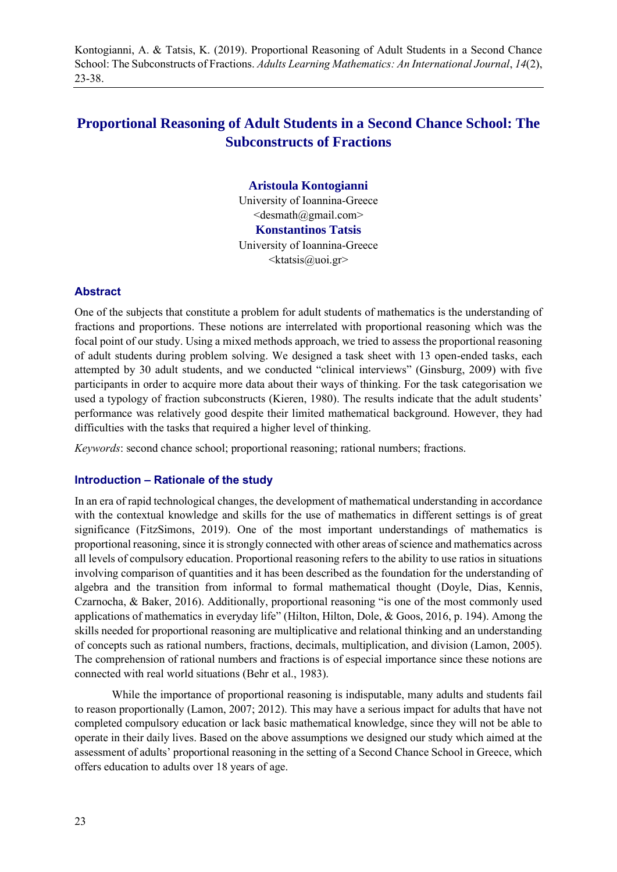Kontogianni, A. & Tatsis, K. (2019). Proportional Reasoning of Adult Students in a Second Chance School: The Subconstructs of Fractions. *Adults Learning Mathematics: An International Journal*, *14*(2), 23-38.

# **Proportional Reasoning of Adult Students in a Second Chance School: The Subconstructs of Fractions**

# **Aristoula Kontogianni**

University of Ioannina-Greece  $\le$ desmath@gmail.com> **Konstantinos Tatsis** University of Ioannina-Greece  $\langle k$ tatsis@uoi.gr>

#### **Abstract**

One of the subjects that constitute a problem for adult students of mathematics is the understanding of fractions and proportions. These notions are interrelated with proportional reasoning which was the focal point of our study. Using a mixed methods approach, we tried to assess the proportional reasoning of adult students during problem solving. We designed a task sheet with 13 open-ended tasks, each attempted by 30 adult students, and we conducted "clinical interviews" (Ginsburg, 2009) with five participants in order to acquire more data about their ways of thinking. For the task categorisation we used a typology of fraction subconstructs (Kieren, 1980). The results indicate that the adult students' performance was relatively good despite their limited mathematical background. However, they had difficulties with the tasks that required a higher level of thinking.

*Keywords*: second chance school; proportional reasoning; rational numbers; fractions.

#### **Introduction – Rationale of the study**

In an era of rapid technological changes, the development of mathematical understanding in accordance with the contextual knowledge and skills for the use of mathematics in different settings is of great significance (FitzSimons, 2019). One of the most important understandings of mathematics is proportional reasoning, since it is strongly connected with other areas of science and mathematics across all levels of compulsory education. Proportional reasoning refers to the ability to use ratios in situations involving comparison of quantities and it has been described as the foundation for the understanding of algebra and the transition from informal to formal mathematical thought (Doyle, Dias, Kennis, Czarnocha, & Baker, 2016). Additionally, proportional reasoning "is one of the most commonly used applications of mathematics in everyday life" (Hilton, Hilton, Dole, & Goos, 2016, p. 194). Among the skills needed for proportional reasoning are multiplicative and relational thinking and an understanding of concepts such as rational numbers, fractions, decimals, multiplication, and division (Lamon, 2005). The comprehension of rational numbers and fractions is of especial importance since these notions are connected with real world situations (Behr et al., 1983).

While the importance of proportional reasoning is indisputable, many adults and students fail to reason proportionally (Lamon, 2007; 2012). This may have a serious impact for adults that have not completed compulsory education or lack basic mathematical knowledge, since they will not be able to operate in their daily lives. Based on the above assumptions we designed our study which aimed at the assessment of adults' proportional reasoning in the setting of a Second Chance School in Greece, which offers education to adults over 18 years of age.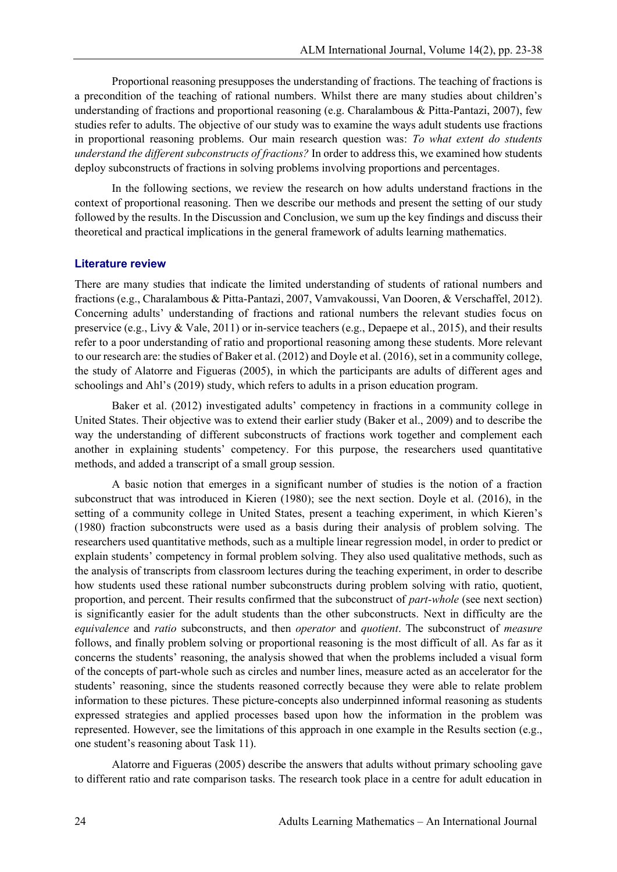Proportional reasoning presupposes the understanding of fractions. The teaching of fractions is a precondition of the teaching of rational numbers. Whilst there are many studies about children's understanding of fractions and proportional reasoning (e.g. Charalambous & Pitta-Pantazi, 2007), few studies refer to adults. The objective of our study was to examine the ways adult students use fractions in proportional reasoning problems. Our main research question was: *To what extent do students understand the different subconstructs of fractions?* In order to address this, we examined how students deploy subconstructs of fractions in solving problems involving proportions and percentages.

In the following sections, we review the research on how adults understand fractions in the context of proportional reasoning. Then we describe our methods and present the setting of our study followed by the results. In the Discussion and Conclusion, we sum up the key findings and discuss their theoretical and practical implications in the general framework of adults learning mathematics.

#### **Literature review**

There are many studies that indicate the limited understanding of students of rational numbers and fractions (e.g., Charalambous & Pitta-Pantazi, 2007, Vamvakoussi, Van Dooren, & Verschaffel, 2012). Concerning adults' understanding of fractions and rational numbers the relevant studies focus on preservice (e.g., Livy & Vale, 2011) or in-service teachers (e.g., Depaepe et al., 2015), and their results refer to a poor understanding of ratio and proportional reasoning among these students. More relevant to our research are: the studies of Baker et al. (2012) and Doyle et al. (2016), set in a community college, the study of Alatorre and Figueras (2005), in which the participants are adults of different ages and schoolings and Ahl's (2019) study, which refers to adults in a prison education program.

Baker et al. (2012) investigated adults' competency in fractions in a community college in United States. Their objective was to extend their earlier study (Baker et al., 2009) and to describe the way the understanding of different subconstructs of fractions work together and complement each another in explaining students' competency. For this purpose, the researchers used quantitative methods, and added a transcript of a small group session.

A basic notion that emerges in a significant number of studies is the notion of a fraction subconstruct that was introduced in Kieren (1980); see the next section. Doyle et al. (2016), in the setting of a community college in United States, present a teaching experiment, in which Kieren's (1980) fraction subconstructs were used as a basis during their analysis of problem solving. The researchers used quantitative methods, such as a multiple linear regression model, in order to predict or explain students' competency in formal problem solving. They also used qualitative methods, such as the analysis of transcripts from classroom lectures during the teaching experiment, in order to describe how students used these rational number subconstructs during problem solving with ratio, quotient, proportion, and percent. Their results confirmed that the subconstruct of *part-whole* (see next section) is significantly easier for the adult students than the other subconstructs. Next in difficulty are the *equivalence* and *ratio* subconstructs, and then *operator* and *quotient*. The subconstruct of *measure* follows, and finally problem solving or proportional reasoning is the most difficult of all. As far as it concerns the students' reasoning, the analysis showed that when the problems included a visual form of the concepts of part-whole such as circles and number lines, measure acted as an accelerator for the students' reasoning, since the students reasoned correctly because they were able to relate problem information to these pictures. These picture-concepts also underpinned informal reasoning as students expressed strategies and applied processes based upon how the information in the problem was represented. However, see the limitations of this approach in one example in the Results section (e.g., one student's reasoning about Task 11).

Alatorre and Figueras (2005) describe the answers that adults without primary schooling gave to different ratio and rate comparison tasks. The research took place in a centre for adult education in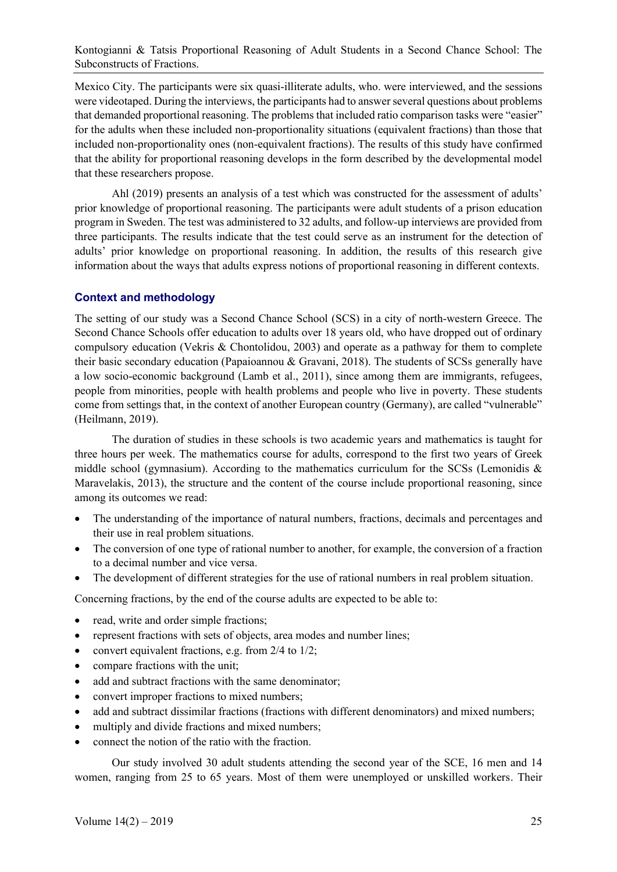Mexico City. The participants were six quasi-illiterate adults, who. were interviewed, and the sessions were videotaped. During the interviews, the participants had to answer several questions about problems that demanded proportional reasoning. The problems that included ratio comparison tasks were "easier" for the adults when these included non-proportionality situations (equivalent fractions) than those that included non-proportionality ones (non-equivalent fractions). The results of this study have confirmed that the ability for proportional reasoning develops in the form described by the developmental model that these researchers propose.

Ahl (2019) presents an analysis of a test which was constructed for the assessment of adults' prior knowledge of proportional reasoning. The participants were adult students of a prison education program in Sweden. The test was administered to 32 adults, and follow-up interviews are provided from three participants. The results indicate that the test could serve as an instrument for the detection of adults' prior knowledge on proportional reasoning. In addition, the results of this research give information about the ways that adults express notions of proportional reasoning in different contexts.

#### **Context and methodology**

The setting of our study was a Second Chance School (SCS) in a city of north-western Greece. The Second Chance Schools offer education to adults over 18 years old, who have dropped out of ordinary compulsory education (Vekris & Chontolidou, 2003) and operate as a pathway for them to complete their basic secondary education (Papaioannou & Gravani, 2018). The students of SCSs generally have a low socio-economic background (Lamb et al., 2011), since among them are immigrants, refugees, people from minorities, people with health problems and people who live in poverty. These students come from settings that, in the context of another European country (Germany), are called "vulnerable" (Heilmann, 2019).

The duration of studies in these schools is two academic years and mathematics is taught for three hours per week. The mathematics course for adults, correspond to the first two years of Greek middle school (gymnasium). According to the mathematics curriculum for the SCSs (Lemonidis  $\&$ Maravelakis, 2013), the structure and the content of the course include proportional reasoning, since among its outcomes we read:

- The understanding of the importance of natural numbers, fractions, decimals and percentages and their use in real problem situations.
- The conversion of one type of rational number to another, for example, the conversion of a fraction to a decimal number and vice versa.
- The development of different strategies for the use of rational numbers in real problem situation.

Concerning fractions, by the end of the course adults are expected to be able to:

- read, write and order simple fractions;
- represent fractions with sets of objects, area modes and number lines;
- convert equivalent fractions, e.g. from  $2/4$  to  $1/2$ ;
- compare fractions with the unit:
- add and subtract fractions with the same denominator;
- convert improper fractions to mixed numbers;
- add and subtract dissimilar fractions (fractions with different denominators) and mixed numbers;
- multiply and divide fractions and mixed numbers;
- connect the notion of the ratio with the fraction.

Our study involved 30 adult students attending the second year of the SCE, 16 men and 14 women, ranging from 25 to 65 years. Most of them were unemployed or unskilled workers. Their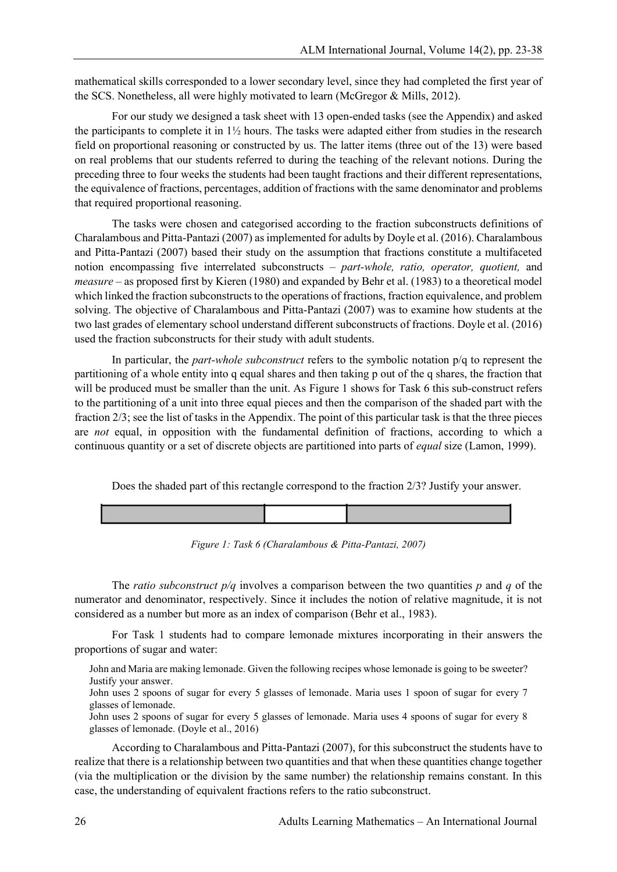mathematical skills corresponded to a lower secondary level, since they had completed the first year of the SCS. Nonetheless, all were highly motivated to learn (McGregor & Mills, 2012).

For our study we designed a task sheet with 13 open-ended tasks (see the Appendix) and asked the participants to complete it in 1½ hours. The tasks were adapted either from studies in the research field on proportional reasoning or constructed by us. The latter items (three out of the 13) were based on real problems that our students referred to during the teaching of the relevant notions. During the preceding three to four weeks the students had been taught fractions and their different representations, the equivalence of fractions, percentages, addition of fractions with the same denominator and problems that required proportional reasoning.

The tasks were chosen and categorised according to the fraction subconstructs definitions of Charalambous and Pitta-Pantazi (2007) as implemented for adults by Doyle et al. (2016). Charalambous and Pitta-Pantazi (2007) based their study on the assumption that fractions constitute a multifaceted notion encompassing five interrelated subconstructs – *part-whole, ratio, operator, quotient,* and *measure* – as proposed first by Kieren (1980) and expanded by Behr et al. (1983) to a theoretical model which linked the fraction subconstructs to the operations of fractions, fraction equivalence, and problem solving. The objective of Charalambous and Pitta-Pantazi (2007) was to examine how students at the two last grades of elementary school understand different subconstructs of fractions. Doyle et al. (2016) used the fraction subconstructs for their study with adult students.

In particular, the *part-whole subconstruct* refers to the symbolic notation p/q to represent the partitioning of a whole entity into q equal shares and then taking p out of the q shares, the fraction that will be produced must be smaller than the unit. As Figure 1 shows for Task 6 this sub-construct refers to the partitioning of a unit into three equal pieces and then the comparison of the shaded part with the fraction 2/3; see the list of tasks in the Appendix. The point of this particular task is that the three pieces are *not* equal, in opposition with the fundamental definition of fractions, according to which a continuous quantity or a set of discrete objects are partitioned into parts of *equal* size (Lamon, 1999).

Does the shaded part of this rectangle correspond to the fraction 2/3? Justify your answer.



*Figure 1: Task 6 (Charalambous & Pitta-Pantazi, 2007)*

The *ratio subconstruct p/q* involves a comparison between the two quantities *p* and *q* of the numerator and denominator, respectively. Since it includes the notion of relative magnitude, it is not considered as a number but more as an index of comparison (Behr et al., 1983).

For Task 1 students had to compare lemonade mixtures incorporating in their answers the proportions of sugar and water:

John and Maria are making lemonade. Given the following recipes whose lemonade is going to be sweeter? Justify your answer.

John uses 2 spoons of sugar for every 5 glasses of lemonade. Maria uses 1 spoon of sugar for every 7 glasses of lemonade.

John uses 2 spoons of sugar for every 5 glasses of lemonade. Maria uses 4 spoons of sugar for every 8 glasses of lemonade. (Doyle et al., 2016)

According to Charalambous and Pitta-Pantazi (2007), for this subconstruct the students have to realize that there is a relationship between two quantities and that when these quantities change together (via the multiplication or the division by the same number) the relationship remains constant. In this case, the understanding of equivalent fractions refers to the ratio subconstruct.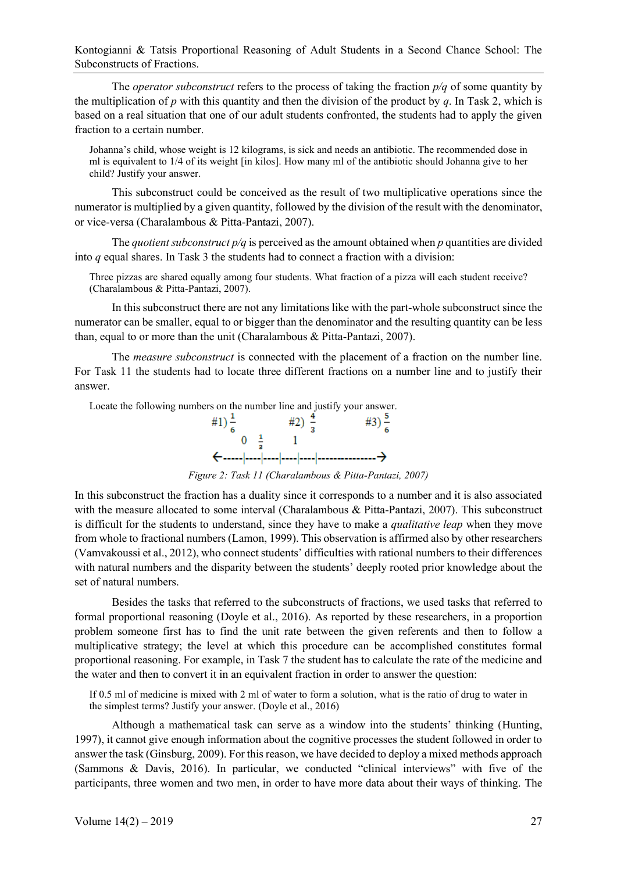The *operator subconstruct* refers to the process of taking the fraction *p/q* of some quantity by the multiplication of *p* with this quantity and then the division of the product by *q*. In Task 2, which is based on a real situation that one of our adult students confronted, the students had to apply the given fraction to a certain number.

Johanna's child, whose weight is 12 kilograms, is sick and needs an antibiotic. The recommended dose in ml is equivalent to 1/4 of its weight [in kilos]. How many ml of the antibiotic should Johanna give to her child? Justify your answer.

This subconstruct could be conceived as the result of two multiplicative operations since the numerator is multiplied by a given quantity, followed by the division of the result with the denominator, or vice-versa (Charalambous & Pitta-Pantazi, 2007).

The *quotient subconstruct p/q* is perceived as the amount obtained when *p* quantities are divided into *q* equal shares. In Task 3 the students had to connect a fraction with a division:

Three pizzas are shared equally among four students. What fraction of a pizza will each student receive? (Charalambous & Pitta-Pantazi, 2007).

In this subconstruct there are not any limitations like with the part-whole subconstruct since the numerator can be smaller, equal to or bigger than the denominator and the resulting quantity can be less than, equal to or more than the unit (Charalambous & Pitta-Pantazi, 2007).

The *measure subconstruct* is connected with the placement of a fraction on the number line. For Task 11 the students had to locate three different fractions on a number line and to justify their answer.



*Figure 2: Task 11 (Charalambous & Pitta-Pantazi, 2007)*

In this subconstruct the fraction has a duality since it corresponds to a number and it is also associated with the measure allocated to some interval (Charalambous & Pitta-Pantazi, 2007). This subconstruct is difficult for the students to understand, since they have to make a *qualitative leap* when they move from whole to fractional numbers (Lamon, 1999). This observation is affirmed also by other researchers (Vamvakoussi et al., 2012), who connect students' difficulties with rational numbers to their differences with natural numbers and the disparity between the students' deeply rooted prior knowledge about the set of natural numbers.

Besides the tasks that referred to the subconstructs of fractions, we used tasks that referred to formal proportional reasoning (Doyle et al., 2016). As reported by these researchers, in a proportion problem someone first has to find the unit rate between the given referents and then to follow a multiplicative strategy; the level at which this procedure can be accomplished constitutes formal proportional reasoning. For example, in Task 7 the student has to calculate the rate of the medicine and the water and then to convert it in an equivalent fraction in order to answer the question:

If 0.5 ml of medicine is mixed with 2 ml of water to form a solution, what is the ratio of drug to water in the simplest terms? Justify your answer. (Doyle et al., 2016)

Although a mathematical task can serve as a window into the students' thinking (Hunting, 1997), it cannot give enough information about the cognitive processes the student followed in order to answer the task (Ginsburg, 2009). For this reason, we have decided to deploy a mixed methods approach (Sammons & Davis, 2016). In particular, we conducted "clinical interviews" with five of the participants, three women and two men, in order to have more data about their ways of thinking. The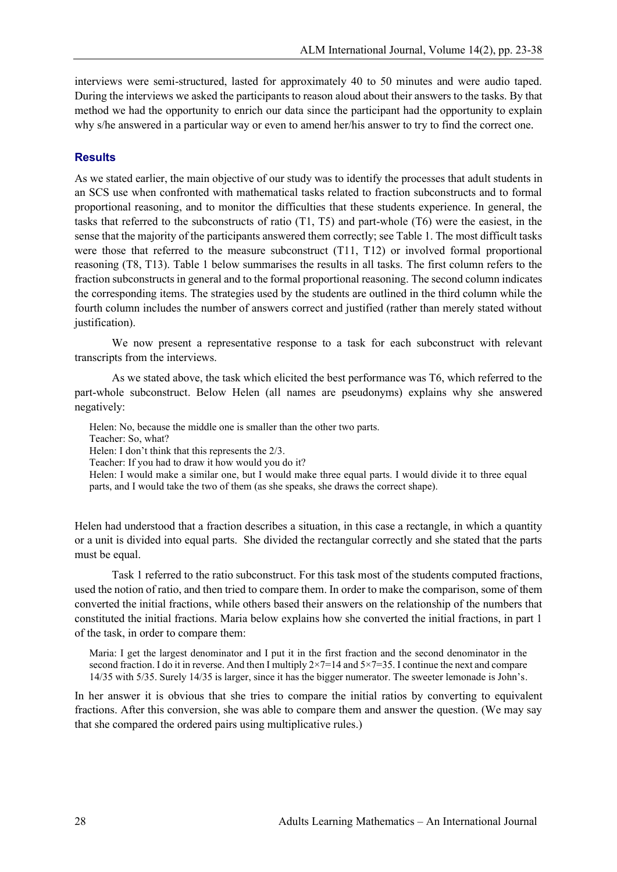interviews were semi-structured, lasted for approximately 40 to 50 minutes and were audio taped. During the interviews we asked the participants to reason aloud about their answers to the tasks. By that method we had the opportunity to enrich our data since the participant had the opportunity to explain why s/he answered in a particular way or even to amend her/his answer to try to find the correct one.

#### **Results**

As we stated earlier, the main objective of our study was to identify the processes that adult students in an SCS use when confronted with mathematical tasks related to fraction subconstructs and to formal proportional reasoning, and to monitor the difficulties that these students experience. In general, the tasks that referred to the subconstructs of ratio (T1, T5) and part-whole (T6) were the easiest, in the sense that the majority of the participants answered them correctly; see Table 1. The most difficult tasks were those that referred to the measure subconstruct (T11, T12) or involved formal proportional reasoning (T8, T13). Table 1 below summarises the results in all tasks. The first column refers to the fraction subconstructs in general and to the formal proportional reasoning. The second column indicates the corresponding items. The strategies used by the students are outlined in the third column while the fourth column includes the number of answers correct and justified (rather than merely stated without justification).

We now present a representative response to a task for each subconstruct with relevant transcripts from the interviews.

As we stated above, the task which elicited the best performance was T6, which referred to the part-whole subconstruct. Below Helen (all names are pseudonyms) explains why she answered negatively:

Helen: No, because the middle one is smaller than the other two parts.

Teacher: So, what?

Helen: I don't think that this represents the 2/3.

Teacher: If you had to draw it how would you do it?

Helen: I would make a similar one, but I would make three equal parts. I would divide it to three equal parts, and I would take the two of them (as she speaks, she draws the correct shape).

Helen had understood that a fraction describes a situation, in this case a rectangle, in which a quantity or a unit is divided into equal parts. She divided the rectangular correctly and she stated that the parts must be equal.

Task 1 referred to the ratio subconstruct. For this task most of the students computed fractions, used the notion of ratio, and then tried to compare them. In order to make the comparison, some of them converted the initial fractions, while others based their answers on the relationship of the numbers that constituted the initial fractions. Maria below explains how she converted the initial fractions, in part 1 of the task, in order to compare them:

Maria: I get the largest denominator and I put it in the first fraction and the second denominator in the second fraction. I do it in reverse. And then I multiply  $2\times7=14$  and  $5\times7=35$ . I continue the next and compare 14/35 with 5/35. Surely 14/35 is larger, since it has the bigger numerator. The sweeter lemonade is John's.

In her answer it is obvious that she tries to compare the initial ratios by converting to equivalent fractions. After this conversion, she was able to compare them and answer the question. (We may say that she compared the ordered pairs using multiplicative rules.)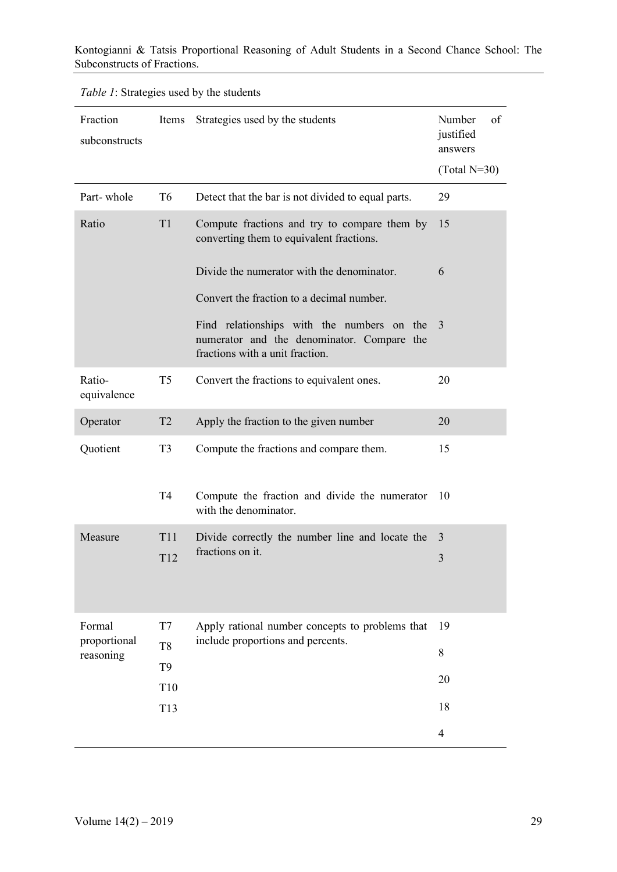| <i>Table 1:</i> Strategies used by the students |  |  |
|-------------------------------------------------|--|--|
|                                                 |  |  |

| Fraction<br>subconstructs                                                                               | Items                                                                                    | Strategies used by the students                                                                                             | Number<br>of<br>justified<br>answers<br>$(Total N=30)$ |
|---------------------------------------------------------------------------------------------------------|------------------------------------------------------------------------------------------|-----------------------------------------------------------------------------------------------------------------------------|--------------------------------------------------------|
| Part-whole                                                                                              | T <sub>6</sub>                                                                           | Detect that the bar is not divided to equal parts.                                                                          | 29                                                     |
| T1<br>Compute fractions and try to compare them by<br>Ratio<br>converting them to equivalent fractions. |                                                                                          | 15                                                                                                                          |                                                        |
|                                                                                                         |                                                                                          | Divide the numerator with the denominator.<br>Convert the fraction to a decimal number.                                     | 6                                                      |
|                                                                                                         |                                                                                          | Find relationships with the numbers on the<br>numerator and the denominator. Compare the<br>fractions with a unit fraction. | 3                                                      |
| Ratio-<br>equivalence                                                                                   | T <sub>5</sub>                                                                           | Convert the fractions to equivalent ones.                                                                                   | 20                                                     |
| Operator                                                                                                | T <sub>2</sub>                                                                           | Apply the fraction to the given number                                                                                      | 20                                                     |
| Quotient                                                                                                | T <sub>3</sub>                                                                           | Compute the fractions and compare them.                                                                                     | 15                                                     |
|                                                                                                         | T <sub>4</sub><br>Compute the fraction and divide the numerator<br>with the denominator. |                                                                                                                             | 10                                                     |
| Measure                                                                                                 | <b>T11</b><br>Divide correctly the number line and locate the                            |                                                                                                                             | 3                                                      |
|                                                                                                         | T12                                                                                      | fractions on it.                                                                                                            | 3                                                      |
| Formal<br>proportional<br>reasoning                                                                     | T7                                                                                       | Apply rational number concepts to problems that                                                                             | 19                                                     |
|                                                                                                         | T <sub>8</sub>                                                                           | include proportions and percents.                                                                                           | 8                                                      |
|                                                                                                         | T <sub>9</sub><br>T <sub>10</sub>                                                        |                                                                                                                             | 20                                                     |
|                                                                                                         | T13                                                                                      |                                                                                                                             | 18                                                     |
|                                                                                                         |                                                                                          |                                                                                                                             | $\overline{4}$                                         |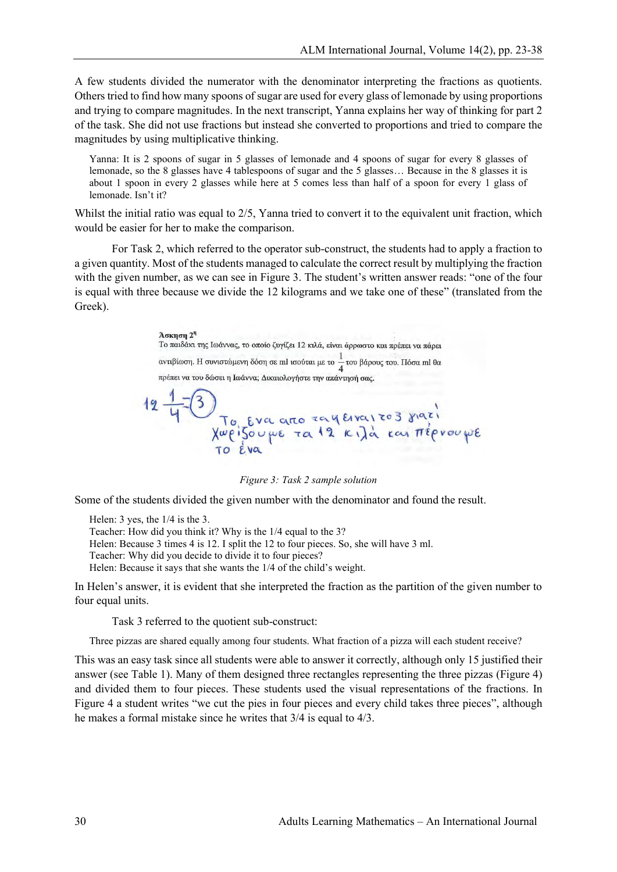A few students divided the numerator with the denominator interpreting the fractions as quotients. Others tried to find how many spoons of sugar are used for every glass of lemonade by using proportions and trying to compare magnitudes. In the next transcript, Yanna explains her way of thinking for part 2 of the task. She did not use fractions but instead she converted to proportions and tried to compare the magnitudes by using multiplicative thinking.

Yanna: It is 2 spoons of sugar in 5 glasses of lemonade and 4 spoons of sugar for every 8 glasses of lemonade, so the 8 glasses have 4 tablespoons of sugar and the 5 glasses… Because in the 8 glasses it is about 1 spoon in every 2 glasses while here at 5 comes less than half of a spoon for every 1 glass of lemonade. Isn't it?

Whilst the initial ratio was equal to  $2/5$ , Yanna tried to convert it to the equivalent unit fraction, which would be easier for her to make the comparison.

For Task 2, which referred to the operator sub-construct, the students had to apply a fraction to a given quantity. Most of the students managed to calculate the correct result by multiplying the fraction with the given number, as we can see in Figure 3. The student's written answer reads: "one of the four is equal with three because we divide the 12 kilograms and we take one of these" (translated from the Greek).

> **А**окцоц 2<sup>1</sup> Το παιδάκι της Ιωάννας, το οποίο ζυγίζει 12 κιλά, είναι άρρωστο και πρέπει να πάρει αντιβίωση. Η συνιστώμενη δόση σε ml ισούται με το  $\frac{1}{4}$ του βάρους του. Πόσα ml θα πρέπει να του δώσει η Ιωάννα; Δικαιολογήστε την απάντησή σας. To Eva arro zay Evairos siazi<br>Xweizou we ra 12 kila kai Tréprouple

*Figure 3: Task 2 sample solution*

Some of the students divided the given number with the denominator and found the result.

Helen: 3 yes, the 1/4 is the 3. Teacher: How did you think it? Why is the 1/4 equal to the 3? Helen: Because 3 times 4 is 12. I split the 12 to four pieces. So, she will have 3 ml. Teacher: Why did you decide to divide it to four pieces? Helen: Because it says that she wants the 1/4 of the child's weight.

In Helen's answer, it is evident that she interpreted the fraction as the partition of the given number to four equal units.

Task 3 referred to the quotient sub-construct:

Three pizzas are shared equally among four students. What fraction of a pizza will each student receive?

This was an easy task since all students were able to answer it correctly, although only 15 justified their answer (see Table 1). Many of them designed three rectangles representing the three pizzas (Figure 4) and divided them to four pieces. These students used the visual representations of the fractions. In Figure 4 a student writes "we cut the pies in four pieces and every child takes three pieces", although he makes a formal mistake since he writes that 3/4 is equal to 4/3.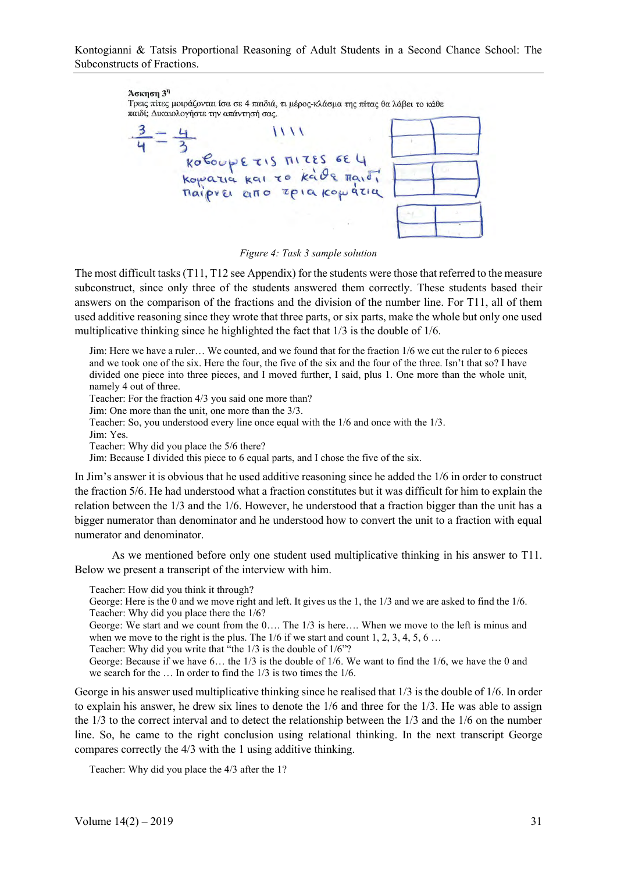#### $A$ окцоц  $3<sup>η</sup>$

Τρεις πίτες μοιράζονται ίσα σε 4 παιδιά, τι μέρος-κλάσμα της πίτας θα λάβει το κάθε παιδί; Δικαιολογήστε την απάντησή σας.

 $\frac{3}{4} = \frac{4}{3}$  1111<br>Roboup E TIS MTES GE 4<br>Ropatia Rai TO Rade Maio,

#### *Figure 4: Task 3 sample solution*

The most difficult tasks (T11, T12 see Appendix) for the students were those that referred to the measure subconstruct, since only three of the students answered them correctly. These students based their answers on the comparison of the fractions and the division of the number line. For T11, all of them used additive reasoning since they wrote that three parts, or six parts, make the whole but only one used multiplicative thinking since he highlighted the fact that 1/3 is the double of 1/6.

Jim: Here we have a ruler… We counted, and we found that for the fraction 1/6 we cut the ruler to 6 pieces and we took one of the six. Here the four, the five of the six and the four of the three. Isn't that so? I have divided one piece into three pieces, and I moved further, I said, plus 1. One more than the whole unit, namely 4 out of three.

Teacher: For the fraction 4/3 you said one more than?

Jim: One more than the unit, one more than the 3/3.

Teacher: So, you understood every line once equal with the 1/6 and once with the 1/3.

Jim: Yes.

Teacher: Why did you place the 5/6 there?

Jim: Because I divided this piece to 6 equal parts, and I chose the five of the six.

In Jim's answer it is obvious that he used additive reasoning since he added the 1/6 in order to construct the fraction 5/6. He had understood what a fraction constitutes but it was difficult for him to explain the relation between the 1/3 and the 1/6. However, he understood that a fraction bigger than the unit has a bigger numerator than denominator and he understood how to convert the unit to a fraction with equal numerator and denominator.

As we mentioned before only one student used multiplicative thinking in his answer to T11. Below we present a transcript of the interview with him.

Teacher: How did you think it through?

George: Here is the 0 and we move right and left. It gives us the 1, the 1/3 and we are asked to find the 1/6. Teacher: Why did you place there the 1/6?

George: We start and we count from the 0…. The 1/3 is here…. When we move to the left is minus and when we move to the right is the plus. The  $1/6$  if we start and count 1, 2, 3, 4, 5, 6 ...

Teacher: Why did you write that "the 1/3 is the double of 1/6"?

George: Because if we have 6… the 1/3 is the double of 1/6. We want to find the 1/6, we have the 0 and we search for the … In order to find the 1/3 is two times the 1/6.

George in his answer used multiplicative thinking since he realised that 1/3 is the double of 1/6. In order to explain his answer, he drew six lines to denote the 1/6 and three for the 1/3. He was able to assign the 1/3 to the correct interval and to detect the relationship between the 1/3 and the 1/6 on the number line. So, he came to the right conclusion using relational thinking. In the next transcript George compares correctly the 4/3 with the 1 using additive thinking.

Teacher: Why did you place the 4/3 after the 1?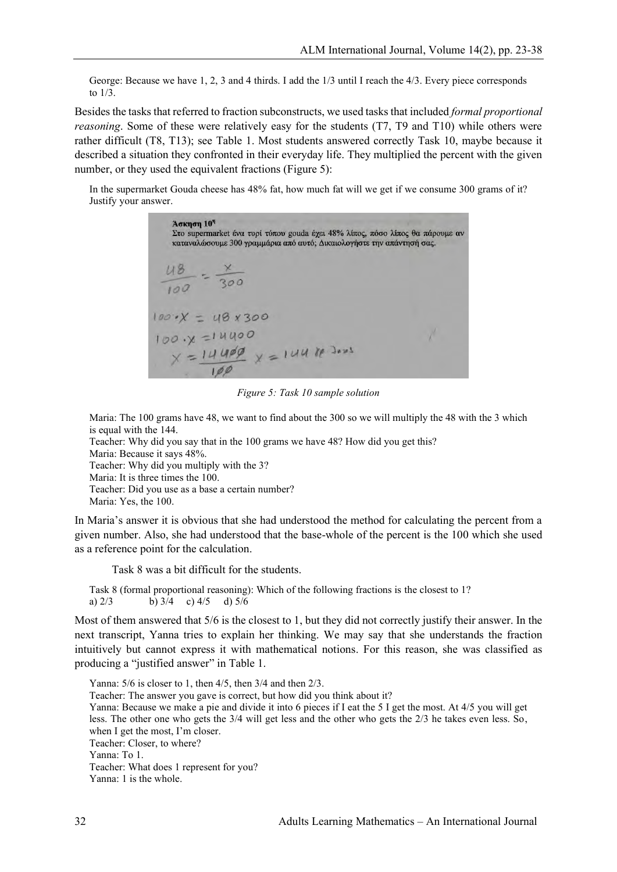George: Because we have 1, 2, 3 and 4 thirds. I add the 1/3 until I reach the 4/3. Every piece corresponds to 1/3.

Besides the tasks that referred to fraction subconstructs, we used tasks that included *formal proportional reasoning*. Some of these were relatively easy for the students (T7, T9 and T10) while others were rather difficult (T8, T13); see Table 1. Most students answered correctly Task 10, maybe because it described a situation they confronted in their everyday life. They multiplied the percent with the given number, or they used the equivalent fractions (Figure 5):

In the supermarket Gouda cheese has 48% fat, how much fat will we get if we consume 300 grams of it? Justify your answer.

 $A$ окпоп  $10<sup>7</sup>$ Στο supermarket ένα τυρί τύπου gouda έχει 48% λίπος, πόσο λίπος θα πάρουμε αν καταναλώσουμε 300 γραμμάρια από αυτό; Δικαιολογήστε την απάντησή σας.  $100.2X = 48x300$  $100.0 = 14400$  $x = 14400$ <br> $x = 14400$ <br> $x = 14400$ <br> $y = 14400$ 

*Figure 5: Task 10 sample solution*

Maria: The 100 grams have 48, we want to find about the 300 so we will multiply the 48 with the 3 which is equal with the 144.

Teacher: Why did you say that in the 100 grams we have 48? How did you get this?

Maria: Because it says 48%. Teacher: Why did you multiply with the 3? Maria: It is three times the 100. Teacher: Did you use as a base a certain number?

Maria: Yes, the 100.

In Maria's answer it is obvious that she had understood the method for calculating the percent from a given number. Also, she had understood that the base-whole of the percent is the 100 which she used as a reference point for the calculation.

Task 8 was a bit difficult for the students.

Task 8 (formal proportional reasoning): Which of the following fractions is the closest to 1? a)  $2/3$  b)  $3/4$  c)  $4/5$  d)  $5/6$ 

Most of them answered that 5/6 is the closest to 1, but they did not correctly justify their answer. In the next transcript, Yanna tries to explain her thinking. We may say that she understands the fraction intuitively but cannot express it with mathematical notions. For this reason, she was classified as producing a "justified answer" in Table 1.

Yanna: 5/6 is closer to 1, then 4/5, then 3/4 and then 2/3. Teacher: The answer you gave is correct, but how did you think about it? Yanna: Because we make a pie and divide it into 6 pieces if I eat the 5 I get the most. At 4/5 you will get less. The other one who gets the 3/4 will get less and the other who gets the 2/3 he takes even less. So, when I get the most, I'm closer. Teacher: Closer, to where? Yanna: To 1. Teacher: What does 1 represent for you? Yanna: 1 is the whole.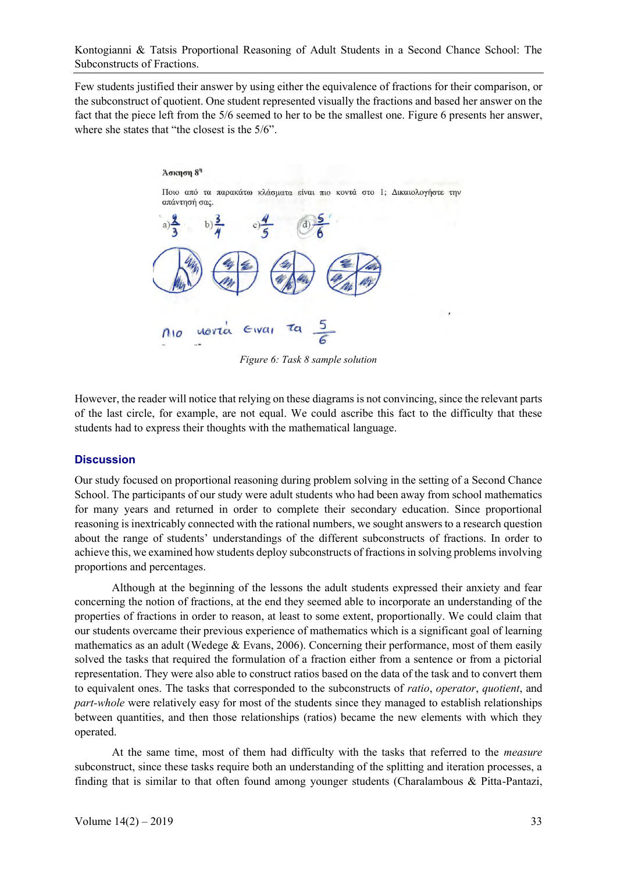Few students justified their answer by using either the equivalence of fractions for their comparison, or the subconstruct of quotient. One student represented visually the fractions and based her answer on the fact that the piece left from the 5/6 seemed to her to be the smallest one. Figure 6 presents her answer, where she states that "the closest is the 5/6".



*Figure 6: Task 8 sample solution*

However, the reader will notice that relying on these diagrams is not convincing, since the relevant parts of the last circle, for example, are not equal. We could ascribe this fact to the difficulty that these students had to express their thoughts with the mathematical language.

#### **Discussion**

Our study focused on proportional reasoning during problem solving in the setting of a Second Chance School. The participants of our study were adult students who had been away from school mathematics for many years and returned in order to complete their secondary education. Since proportional reasoning is inextricably connected with the rational numbers, we sought answers to a research question about the range of students' understandings of the different subconstructs of fractions. In order to achieve this, we examined how students deploy subconstructs of fractions in solving problems involving proportions and percentages.

Although at the beginning of the lessons the adult students expressed their anxiety and fear concerning the notion of fractions, at the end they seemed able to incorporate an understanding of the properties of fractions in order to reason, at least to some extent, proportionally. We could claim that our students overcame their previous experience of mathematics which is a significant goal of learning mathematics as an adult (Wedege & Evans, 2006). Concerning their performance, most of them easily solved the tasks that required the formulation of a fraction either from a sentence or from a pictorial representation. They were also able to construct ratios based on the data of the task and to convert them to equivalent ones. The tasks that corresponded to the subconstructs of *ratio*, *operator*, *quotient*, and *part-whole* were relatively easy for most of the students since they managed to establish relationships between quantities, and then those relationships (ratios) became the new elements with which they operated.

At the same time, most of them had difficulty with the tasks that referred to the *measure* subconstruct, since these tasks require both an understanding of the splitting and iteration processes, a finding that is similar to that often found among younger students (Charalambous & Pitta-Pantazi,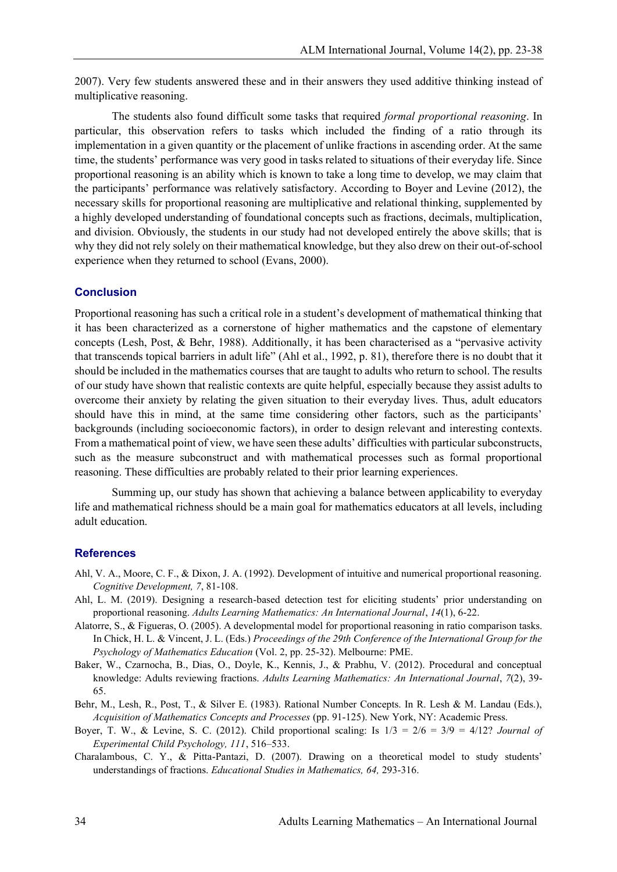2007). Very few students answered these and in their answers they used additive thinking instead of multiplicative reasoning.

The students also found difficult some tasks that required *formal proportional reasoning*. In particular, this observation refers to tasks which included the finding of a ratio through its implementation in a given quantity or the placement of unlike fractions in ascending order. At the same time, the students' performance was very good in tasks related to situations of their everyday life. Since proportional reasoning is an ability which is known to take a long time to develop, we may claim that the participants' performance was relatively satisfactory. According to Boyer and Levine (2012), the necessary skills for proportional reasoning are multiplicative and relational thinking, supplemented by a highly developed understanding of foundational concepts such as fractions, decimals, multiplication, and division. Obviously, the students in our study had not developed entirely the above skills; that is why they did not rely solely on their mathematical knowledge, but they also drew on their out-of-school experience when they returned to school (Evans, 2000).

#### **Conclusion**

Proportional reasoning has such a critical role in a student's development of mathematical thinking that it has been characterized as a cornerstone of higher mathematics and the capstone of elementary concepts (Lesh, Post, & Behr, 1988). Additionally, it has been characterised as a "pervasive activity that transcends topical barriers in adult life" (Ahl et al., 1992, p. 81), therefore there is no doubt that it should be included in the mathematics courses that are taught to adults who return to school. The results of our study have shown that realistic contexts are quite helpful, especially because they assist adults to overcome their anxiety by relating the given situation to their everyday lives. Thus, adult educators should have this in mind, at the same time considering other factors, such as the participants' backgrounds (including socioeconomic factors), in order to design relevant and interesting contexts. From a mathematical point of view, we have seen these adults' difficulties with particular subconstructs, such as the measure subconstruct and with mathematical processes such as formal proportional reasoning. These difficulties are probably related to their prior learning experiences.

Summing up, our study has shown that achieving a balance between applicability to everyday life and mathematical richness should be a main goal for mathematics educators at all levels, including adult education.

#### **References**

- Ahl, V. A., Moore, C. F., & Dixon, J. A. (1992). Development of intuitive and numerical proportional reasoning. *Cognitive Development, 7*, 81-108.
- Ahl, L. M. (2019). Designing a research-based detection test for eliciting students' prior understanding on proportional reasoning. *Adults Learning Mathematics: An International Journal*, *14*(1), 6-22.
- Alatorre, S., & Figueras, O. (2005). A developmental model for proportional reasoning in ratio comparison tasks. In Chick, H. L. & Vincent, J. L. (Eds.) *Proceedings of the 29th Conference of the International Group for the Psychology of Mathematics Education* (Vol. 2, pp. 25-32). Melbourne: PME.
- Baker, W., Czarnocha, B., Dias, O., Doyle, K., Kennis, J., & Prabhu, V. (2012). Procedural and conceptual knowledge: Adults reviewing fractions. *Adults Learning Mathematics: An International Journal*, *7*(2), 39- 65.
- Behr, M., Lesh, R., Post, T., & Silver E. (1983). Rational Number Concepts. In R. Lesh & M. Landau (Eds.), *Acquisition of Mathematics Concepts and Processes* (pp. 91-125). New York, NY: Academic Press.
- Boyer, T. W., & Levine, S. C. (2012). Child proportional scaling: Is 1/3 = 2/6 = 3/9 = 4/12? *Journal of Experimental Child Psychology, 111*, 516–533.
- Charalambous, C. Y., & Pitta-Pantazi, D. (2007). Drawing on a theoretical model to study students' understandings of fractions. *Educational Studies in Mathematics, 64,* 293-316.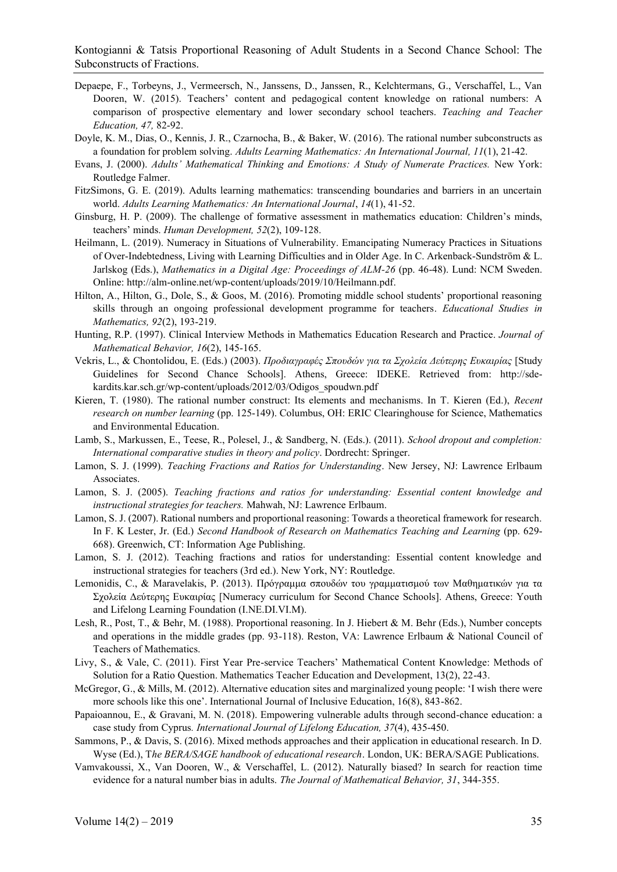- Depaepe, F., Torbeyns, J., Vermeersch, N., Janssens, D., Janssen, R., Kelchtermans, G., Verschaffel, L., Van Dooren, W. (2015). Teachers' content and pedagogical content knowledge on rational numbers: A comparison of prospective elementary and lower secondary school teachers. *Teaching and Teacher Education, 47,* 82-92.
- Doyle, K. M., Dias, O., Kennis, J. R., Czarnocha, B., & Baker, W. (2016). The rational number subconstructs as a foundation for problem solving. *Adults Learning Mathematics: An International Journal, 11*(1), 21-42.
- Evans, J. (2000). *Adults' Mathematical Thinking and Emotions: A Study of Numerate Practices.* New York: Routledge Falmer.
- FitzSimons, G. E. (2019). Adults learning mathematics: transcending boundaries and barriers in an uncertain world. *Adults Learning Mathematics: An International Journal*, *14*(1), 41-52.
- Ginsburg, H. P. (2009). The challenge of formative assessment in mathematics education: Children's minds, teachers' minds. *Human Development, 52*(2), 109-128.
- Heilmann, L. (2019). Numeracy in Situations of Vulnerability. Emancipating Numeracy Practices in Situations of Over-Indebtedness, Living with Learning Difficulties and in Older Age. In C. Arkenback-Sundström & L. Jarlskog (Eds.), *Mathematics in a Digital Age: Proceedings of ALM-26* (pp. 46-48). Lund: NCM Sweden. Online: http://alm-online.net/wp-content/uploads/2019/10/Heilmann.pdf.
- Hilton, A., Hilton, G., Dole, S., & Goos, M. (2016). Promoting middle school students' proportional reasoning skills through an ongoing professional development programme for teachers. *Educational Studies in Mathematics, 92*(2), 193-219.
- Hunting, R.P. (1997). Clinical Interview Methods in Mathematics Education Research and Practice. *Journal of Mathematical Behavior, 16*(2), 145-165.
- Vekris, L., & Chontolidou, E. (Eds.) (2003). *Προδιαγραφές Σπουδών για τα Σχολεία Δεύτερης Ευκαιρίας* [Study Guidelines for Second Chance Schools]. Athens, Greece: IDEKE. Retrieved from: http://sdekardits.kar.sch.gr/wp-content/uploads/2012/03/Odigos\_spoudwn.pdf
- Kieren, T. (1980). The rational number construct: Its elements and mechanisms. In T. Kieren (Ed.), *Recent research on number learning* (pp. 125-149). Columbus, OH: ERIC Clearinghouse for Science, Mathematics and Environmental Education.
- Lamb, S., Markussen, E., Teese, R., Polesel, J., & Sandberg, N. (Eds.). (2011). *School dropout and completion: International comparative studies in theory and policy*. Dordrecht: Springer.
- Lamon, S. J. (1999). *Teaching Fractions and Ratios for Understanding*. New Jersey, NJ: Lawrence Erlbaum Associates.
- Lamon, S. J. (2005). *Teaching fractions and ratios for understanding: Essential content knowledge and instructional strategies for teachers.* Mahwah, NJ: Lawrence Erlbaum.
- Lamon, S. J. (2007). Rational numbers and proportional reasoning: Towards a theoretical framework for research. In F. K Lester, Jr. (Ed.) *Second Handbook of Research on Mathematics Teaching and Learning* (pp. 629- 668). Greenwich, CT: Information Age Publishing.
- Lamon, S. J. (2012). Teaching fractions and ratios for understanding: Essential content knowledge and instructional strategies for teachers (3rd ed.). New York, NY: Routledge.
- Lemonidis, C., & Maravelakis, P. (2013). Πρόγραμμα σπουδών του γραμματισμού των Μαθηματικών για τα Σχολεία Δεύτερης Ευκαιρίας [Numeracy curriculum for Second Chance Schools]. Athens, Greece: Youth and Lifelong Learning Foundation (I.NE.DI.VI.M).
- Lesh, R., Post, T., & Behr, M. (1988). Proportional reasoning. In J. Hiebert & M. Behr (Eds.), Number concepts and operations in the middle grades (pp. 93-118). Reston, VA: Lawrence Erlbaum & National Council of Teachers of Mathematics.
- Livy, S., & Vale, C. (2011). First Year Pre-service Teachers' Mathematical Content Knowledge: Methods of Solution for a Ratio Question. Mathematics Teacher Education and Development, 13(2), 22-43.
- McGregor, G., & Mills, M. (2012). Alternative education sites and marginalized young people: 'I wish there were more schools like this one'. International Journal of Inclusive Education, 16(8), 843-862.
- Papaioannou, Ε., & Gravani, Μ. Ν. (2018). Empowering vulnerable adults through second-chance education: a case study from Cyprus*. International Journal of Lifelong Education, 37*(4), 435-450.
- Sammons, P., & Davis, S. (2016). Mixed methods approaches and their application in educational research. In D. Wyse (Ed.), T*he BERA/SAGE handbook of educational research*. London, UK: BERA/SAGE Publications.
- Vamvakoussi, X., Van Dooren, W., & Verschaffel, L. (2012). Naturally biased? In search for reaction time evidence for a natural number bias in adults. *The Journal of Mathematical Behavior, 31*, 344-355.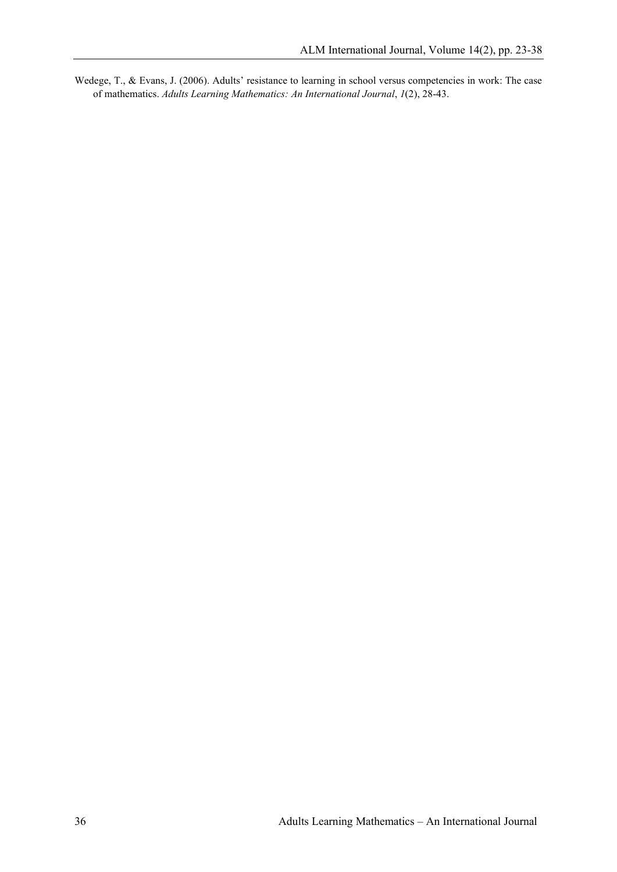Wedege, T., & Evans, J. (2006). Adults' resistance to learning in school versus competencies in work: The case of mathematics. *Adults Learning Mathematics: An International Journal*, *1*(2), 28-43.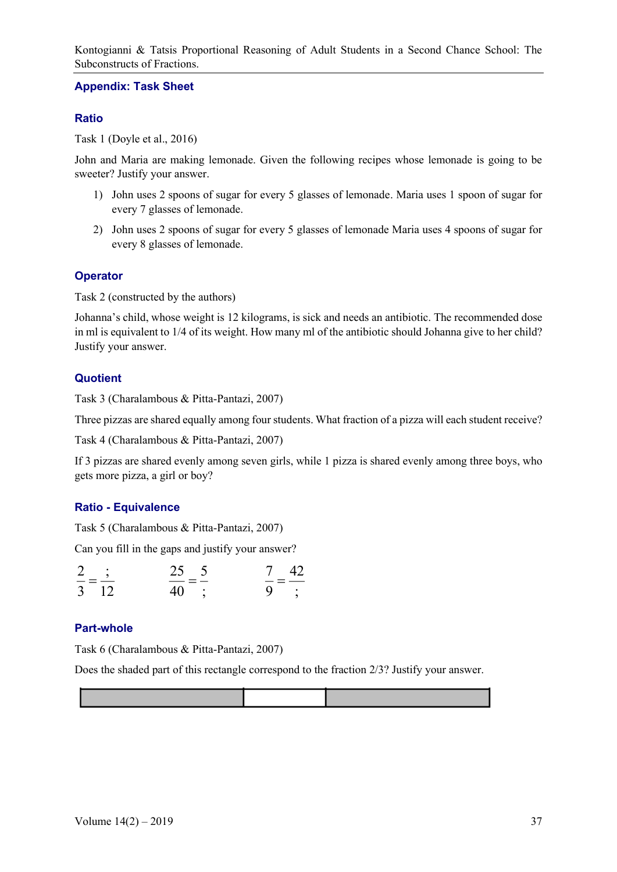#### **Appendix: Task Sheet**

## **Ratio**

Task 1 (Doyle et al., 2016)

John and Maria are making lemonade. Given the following recipes whose lemonade is going to be sweeter? Justify your answer.

- 1) John uses 2 spoons of sugar for every 5 glasses of lemonade. Maria uses 1 spoon of sugar for every 7 glasses of lemonade.
- 2) John uses 2 spoons of sugar for every 5 glasses of lemonade Maria uses 4 spoons of sugar for every 8 glasses of lemonade.

### **Operator**

Task 2 (constructed by the authors)

Johanna's child, whose weight is 12 kilograms, is sick and needs an antibiotic. The recommended dose in ml is equivalent to 1/4 of its weight. How many ml of the antibiotic should Johanna give to her child? Justify your answer.

# **Quotient**

Task 3 (Charalambous & Pitta-Pantazi, 2007)

Three pizzas are shared equally among four students. What fraction of a pizza will each student receive?

Task 4 (Charalambous & Pitta-Pantazi, 2007)

If 3 pizzas are shared evenly among seven girls, while 1 pizza is shared evenly among three boys, who gets more pizza, a girl or boy?

# **Ratio - Equivalence**

Task 5 (Charalambous & Pitta-Pantazi, 2007)

Can you fill in the gaps and justify your answer?

| $\sim$ $\sim$ | 25 5              | $7\quad 42$    |
|---------------|-------------------|----------------|
| $3 \quad 12$  | $=$ $-$<br>$40$ : | $=$ $-$<br>9 : |

# **Part-whole**

Task 6 (Charalambous & Pitta-Pantazi, 2007)

Does the shaded part of this rectangle correspond to the fraction 2/3? Justify your answer.